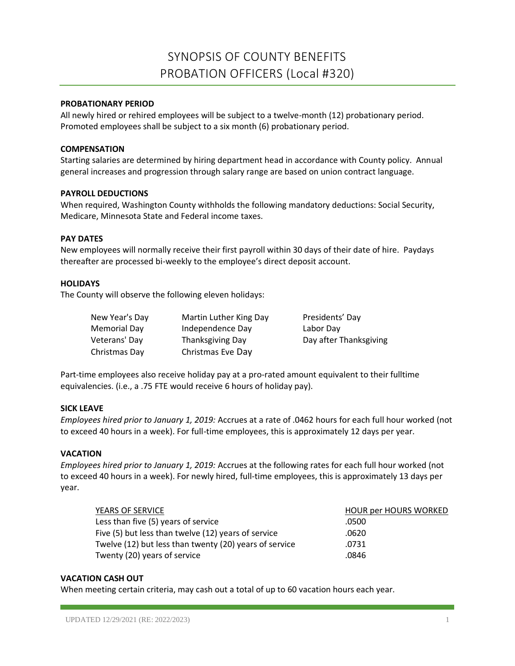# SYNOPSIS OF COUNTY BENEFITS PROBATION OFFICERS (Local #320)

# **PROBATIONARY PERIOD**

All newly hired or rehired employees will be subject to a twelve-month (12) probationary period. Promoted employees shall be subject to a six month (6) probationary period.

## **COMPENSATION**

Starting salaries are determined by hiring department head in accordance with County policy. Annual general increases and progression through salary range are based on union contract language.

## **PAYROLL DEDUCTIONS**

When required, Washington County withholds the following mandatory deductions: Social Security, Medicare, Minnesota State and Federal income taxes.

# **PAY DATES**

New employees will normally receive their first payroll within 30 days of their date of hire. Paydays thereafter are processed bi-weekly to the employee's direct deposit account.

# **HOLIDAYS**

The County will observe the following eleven holidays:

| New Year's Day | Martin Luther King Day | Presidents' Day        |
|----------------|------------------------|------------------------|
| Memorial Day   | Independence Day       | Labor Day              |
| Veterans' Day  | Thanksgiving Day       | Day after Thanksgiving |
| Christmas Day  | Christmas Eve Day      |                        |

Part-time employees also receive holiday pay at a pro-rated amount equivalent to their fulltime equivalencies. (i.e., a .75 FTE would receive 6 hours of holiday pay).

## **SICK LEAVE**

*Employees hired prior to January 1, 2019:* Accrues at a rate of .0462 hours for each full hour worked (not to exceed 40 hours in a week). For full-time employees, this is approximately 12 days per year.

## **VACATION**

*Employees hired prior to January 1, 2019:* Accrues at the following rates for each full hour worked (not to exceed 40 hours in a week). For newly hired, full-time employees, this is approximately 13 days per year.

| YEARS OF SERVICE                                       | <b>HOUR per HOURS WORKED</b> |
|--------------------------------------------------------|------------------------------|
| Less than five (5) years of service                    | .0500                        |
| Five (5) but less than twelve (12) years of service    | .0620                        |
| Twelve (12) but less than twenty (20) years of service | .0731                        |
| Twenty (20) years of service                           | .0846                        |

## **VACATION CASH OUT**

When meeting certain criteria, may cash out a total of up to 60 vacation hours each year.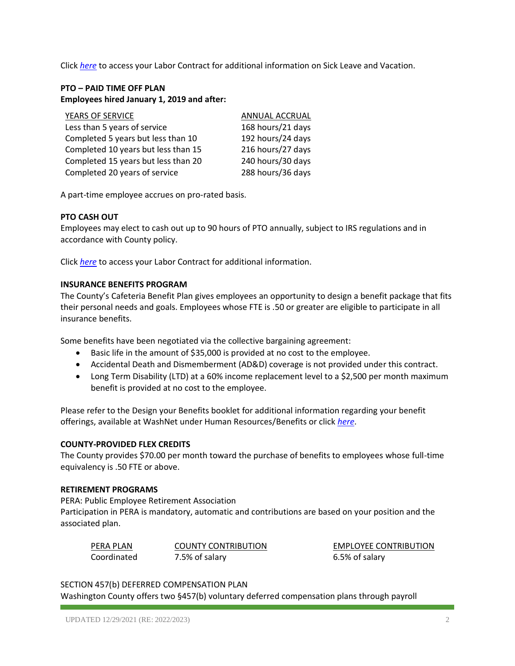Click *[here](https://washnet.co.washington.mn.us/depts/hr/labagre/IntraCon/Teamsters%20(Probation%20Officers)%20Contract.pdf)* to access your Labor Contract for additional information on Sick Leave and Vacation.

# **PTO – PAID TIME OFF PLAN Employees hired January 1, 2019 and after:**

| YEARS OF SERVICE                    | ANNUAL ACCRUAL    |
|-------------------------------------|-------------------|
| Less than 5 years of service        | 168 hours/21 days |
| Completed 5 years but less than 10  | 192 hours/24 days |
| Completed 10 years but less than 15 | 216 hours/27 days |
| Completed 15 years but less than 20 | 240 hours/30 days |
| Completed 20 years of service       | 288 hours/36 days |

A part-time employee accrues on pro-rated basis.

# **PTO CASH OUT**

Employees may elect to cash out up to 90 hours of PTO annually, subject to IRS regulations and in accordance with County policy.

Click *[here](https://washnet.co.washington.mn.us/depts/hr/labagre/IntraCon/Teamsters%20(Probation%20Officers)%20Contract.pdf)* to access your Labor Contract for additional information.

# **INSURANCE BENEFITS PROGRAM**

The County's Cafeteria Benefit Plan gives employees an opportunity to design a benefit package that fits their personal needs and goals. Employees whose FTE is .50 or greater are eligible to participate in all insurance benefits.

Some benefits have been negotiated via the collective bargaining agreement:

- Basic life in the amount of \$35,000 is provided at no cost to the employee.
- Accidental Death and Dismemberment (AD&D) coverage is not provided under this contract.
- Long Term Disability (LTD) at a 60% income replacement level to a \$2,500 per month maximum benefit is provided at no cost to the employee.

Please refer to the Design your Benefits booklet for additional information regarding your benefit offerings, available at WashNet under Human Resources/Benefits or click *[here](https://washnet.co.washington.mn.us/depts/hr/benefits2/Shared%20Documents/CurrentBenefitBook.pdf?csf=1&e=CmQiSr)*.

## **COUNTY-PROVIDED FLEX CREDITS**

The County provides \$70.00 per month toward the purchase of benefits to employees whose full-time equivalency is .50 FTE or above.

## **RETIREMENT PROGRAMS**

PERA: Public Employee Retirement Association Participation in PERA is mandatory, automatic and contributions are based on your position and the associated plan.

| PERA PLAN   | <b>COUNTY CONTRIBUTION</b> |
|-------------|----------------------------|
| Coordinated | 7.5% of salary             |

**EMPLOYEE CONTRIBUTION** 6.5% of salary

## SECTION 457(b) DEFERRED COMPENSATION PLAN

Washington County offers two §457(b) voluntary deferred compensation plans through payroll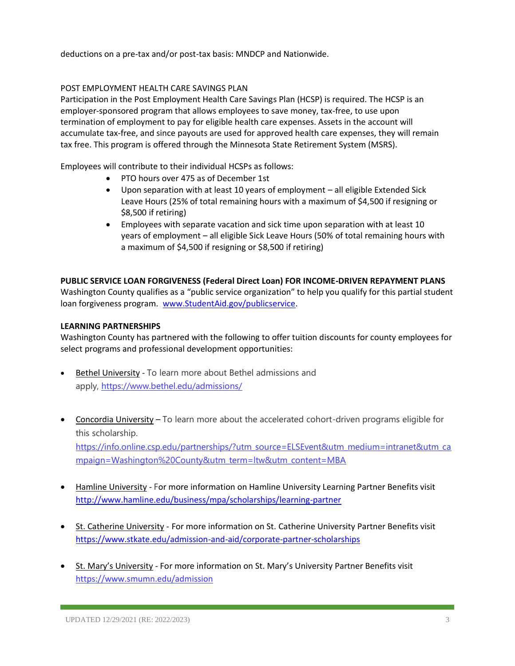deductions on a pre-tax and/or post-tax basis: MNDCP and Nationwide.

# POST EMPLOYMENT HEALTH CARE SAVINGS PLAN

Participation in the Post Employment Health Care Savings Plan (HCSP) is required. The HCSP is an employer-sponsored program that allows employees to save money, tax-free, to use upon termination of employment to pay for eligible health care expenses. Assets in the account will accumulate tax-free, and since payouts are used for approved health care expenses, they will remain tax free. This program is offered through the Minnesota State Retirement System (MSRS).

Employees will contribute to their individual HCSPs as follows:

- PTO hours over 475 as of December 1st
- Upon separation with at least 10 years of employment all eligible Extended Sick Leave Hours (25% of total remaining hours with a maximum of \$4,500 if resigning or \$8,500 if retiring)
- Employees with separate vacation and sick time upon separation with at least 10 years of employment – all eligible Sick Leave Hours (50% of total remaining hours with a maximum of \$4,500 if resigning or \$8,500 if retiring)

# **PUBLIC SERVICE LOAN FORGIVENESS (Federal Direct Loan) FOR INCOME-DRIVEN REPAYMENT PLANS**

Washington County qualifies as a "public service organization" to help you qualify for this partial student loan forgiveness program. [www.StudentAid.gov/publicservice.](http://www.studentaid.gov/publicservice)

# **LEARNING PARTNERSHIPS**

Washington County has partnered with the following to offer tuition discounts for county employees for select programs and professional development opportunities:

- Bethel University To learn more about Bethel admissions and apply, <https://www.bethel.edu/admissions/>
- Concordia University To learn more about the accelerated cohort-driven programs eligible for this scholarship. [https://info.online.csp.edu/partnerships/?utm\\_source=ELSEvent&utm\\_medium=intranet&utm\\_ca](https://info.online.csp.edu/partnerships/?utm_source=ELSEvent&utm_medium=intranet&utm_campaign=Washington%20County&utm_term=ltw&utm_content=MBA) [mpaign=Washington%20County&utm\\_term=ltw&utm\\_content=MBA](https://info.online.csp.edu/partnerships/?utm_source=ELSEvent&utm_medium=intranet&utm_campaign=Washington%20County&utm_term=ltw&utm_content=MBA)
- Hamline University For more information on Hamline University Learning Partner Benefits visit <http://www.hamline.edu/business/mpa/scholarships/learning-partner>
- St. Catherine University For more information on St. Catherine University Partner Benefits visit <https://www.stkate.edu/admission-and-aid/corporate-partner-scholarships>
- St. Mary's University For more information on St. Mary's University Partner Benefits visit <https://www.smumn.edu/admission>